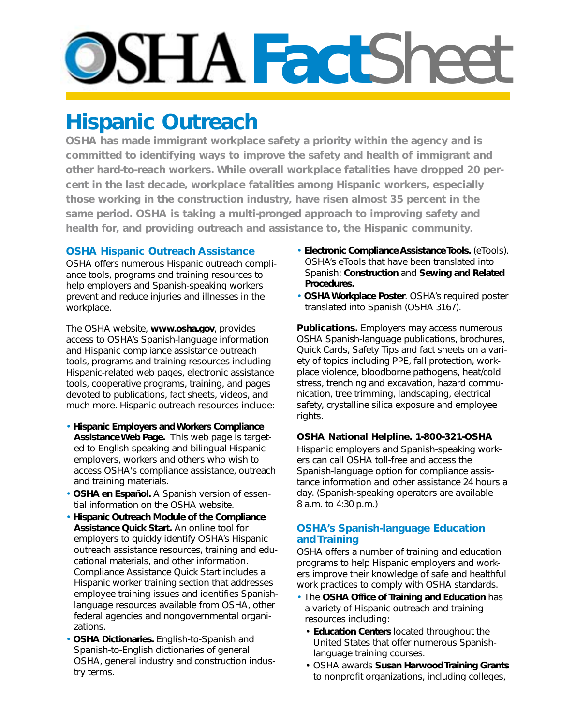# **PSHAFactSheet**

## **Hispanic Outreach**

**OSHA has made immigrant workplace safety a priority within the agency and is committed to identifying ways to improve the safety and health of immigrant and other hard-to-reach workers. While overall workplace fatalities have dropped 20 percent in the last decade, workplace fatalities among Hispanic workers, especially those working in the construction industry, have risen almost 35 percent in the same period. OSHA is taking a multi-pronged approach to improving safety and health for, and providing outreach and assistance to, the Hispanic community.**

### **OSHA Hispanic Outreach Assistance**

OSHA offers numerous Hispanic outreach compliance tools, programs and training resources to help employers and Spanish-speaking workers prevent and reduce injuries and illnesses in the workplace.

The OSHA website, **www.osha.gov**, provides access to OSHA's Spanish-language information and Hispanic compliance assistance outreach tools, programs and training resources including Hispanic-related web pages, electronic assistance tools, cooperative programs, training, and pages devoted to publications, fact sheets, videos, and much more. Hispanic outreach resources include:

- **Hispanic Employers and Workers Compliance Assistance Web Page.** This web page is targeted to English-speaking and bilingual Hispanic employers, workers and others who wish to access OSHA's compliance assistance, outreach and training materials.
- *OSHA en Español.* A Spanish version of essential information on the OSHA website.
- **Hispanic Outreach Module of the Compliance Assistance Quick Start.** An online tool for employers to quickly identify OSHA's Hispanic outreach assistance resources, training and educational materials, and other information. Compliance Assistance Quick Start includes a Hispanic worker training section that addresses employee training issues and identifies Spanishlanguage resources available from OSHA, other federal agencies and nongovernmental organizations.
- **OSHA Dictionaries.** English-to-Spanish and Spanish-to-English dictionaries of general OSHA, general industry and construction industry terms.
- **Electronic Compliance Assistance Tools.** (eTools). OSHA's eTools that have been translated into Spanish: **Construction** and **Sewing and Related Procedures.**
- **OSHA Workplace Poster**. OSHA's required poster translated into Spanish (OSHA 3167).

**Publications.** Employers may access numerous OSHA Spanish-language publications, brochures, Quick Cards, Safety Tips and fact sheets on a variety of topics including PPE, fall protection, workplace violence, bloodborne pathogens, heat/cold stress, trenching and excavation, hazard communication, tree trimming, landscaping, electrical safety, crystalline silica exposure and employee rights.

#### **OSHA National Helpline. 1-800-321-OSHA**

Hispanic employers and Spanish-speaking workers can call OSHA toll-free and access the Spanish-language option for compliance assistance information and other assistance 24 hours a day. (Spanish-speaking operators are available 8 a.m. to 4:30 p.m.)

#### **OSHA's Spanish-language Education and Training**

OSHA offers a number of training and education programs to help Hispanic employers and workers improve their knowledge of safe and healthful work practices to comply with OSHA standards.

- The **OSHA Office of Training and Education** has a variety of Hispanic outreach and training resources including:
	- **Education Centers** located throughout the United States that offer numerous Spanishlanguage training courses.
	- OSHA awards **Susan Harwood Training Grants** to nonprofit organizations, including colleges,